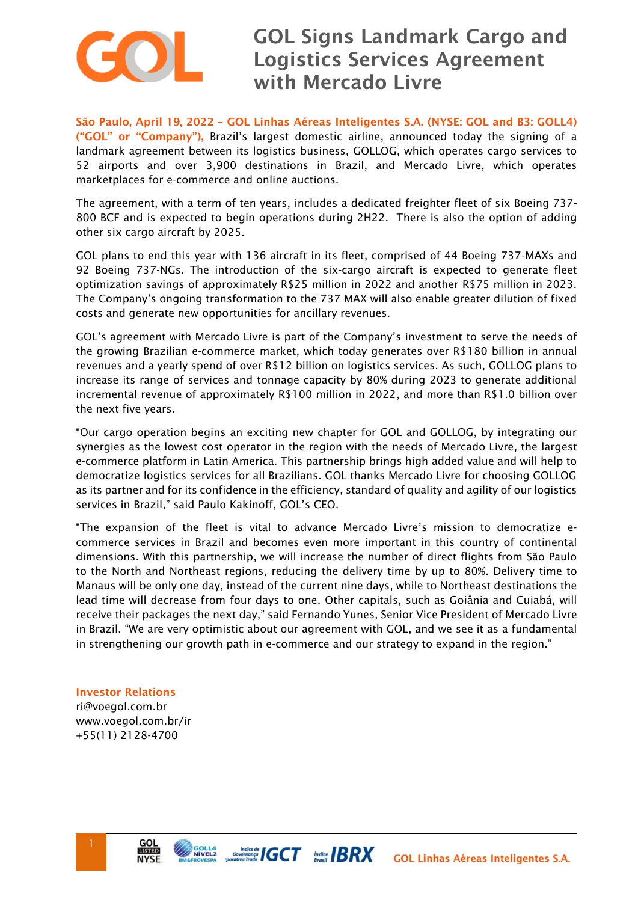

## GOL Signs Landmark Cargo and Logistics Services Agreement with Mercado Livre

São Paulo, April 19, 2022 – GOL Linhas Aéreas Inteligentes S.A. (NYSE: GOL and B3: GOLL4) ("GOL" or "Company"), Brazil's largest domestic airline, announced today the signing of a landmark agreement between its logistics business, GOLLOG, which operates cargo services to 52 airports and over 3,900 destinations in Brazil, and Mercado Livre, which operates marketplaces for e-commerce and online auctions.

The agreement, with a term of ten years, includes a dedicated freighter fleet of six Boeing 737- 800 BCF and is expected to begin operations during 2H22. There is also the option of adding other six cargo aircraft by 2025.

GOL plans to end this year with 136 aircraft in its fleet, comprised of 44 Boeing 737-MAXs and 92 Boeing 737-NGs. The introduction of the six-cargo aircraft is expected to generate fleet optimization savings of approximately R\$25 million in 2022 and another R\$75 million in 2023. The Company's ongoing transformation to the 737 MAX will also enable greater dilution of fixed costs and generate new opportunities for ancillary revenues.

GOL's agreement with Mercado Livre is part of the Company's investment to serve the needs of the growing Brazilian e-commerce market, which today generates over R\$180 billion in annual revenues and a yearly spend of over R\$12 billion on logistics services. As such, GOLLOG plans to increase its range of services and tonnage capacity by 80% during 2023 to generate additional incremental revenue of approximately R\$100 million in 2022, and more than R\$1.0 billion over the next five years.

"Our cargo operation begins an exciting new chapter for GOL and GOLLOG, by integrating our synergies as the lowest cost operator in the region with the needs of Mercado Livre, the largest e-commerce platform in Latin America. This partnership brings high added value and will help to democratize logistics services for all Brazilians. GOL thanks Mercado Livre for choosing GOLLOG as its partner and for its confidence in the efficiency, standard of quality and agility of our logistics services in Brazil," said Paulo Kakinoff, GOL's CEO.

"The expansion of the fleet is vital to advance Mercado Livre's mission to democratize ecommerce services in Brazil and becomes even more important in this country of continental dimensions. With this partnership, we will increase the number of direct flights from São Paulo to the North and Northeast regions, reducing the delivery time by up to 80%. Delivery time to Manaus will be only one day, instead of the current nine days, while to Northeast destinations the lead time will decrease from four days to one. Other capitals, such as Goiânia and Cuiabá, will receive their packages the next day," said Fernando Yunes, Senior Vice President of Mercado Livre in Brazil. "We are very optimistic about our agreement with GOL, and we see it as a fundamental in strengthening our growth path in e-commerce and our strategy to expand in the region."

Investor Relations ri@voegol.com.br www.voegol.com.br/ir

+55(11) 2128-4700



GOLL4<br>NÍVEL2